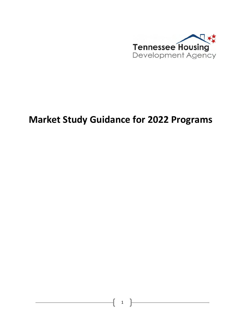

# **Market Study Guidance for 2022 Programs**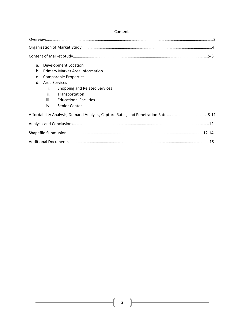| Development Location<br>a.                   |  |
|----------------------------------------------|--|
| b.<br><b>Primary Market Area Information</b> |  |
| <b>Comparable Properties</b><br>c.           |  |
| Area Services<br>$d$ .                       |  |
| i.<br>Shopping and Related Services          |  |
| ii.<br>Transportation                        |  |
| iii.<br><b>Educational Facilities</b>        |  |
| iv. Senior Center                            |  |
|                                              |  |
|                                              |  |
|                                              |  |
|                                              |  |

#### Contents

 $\mathbf f$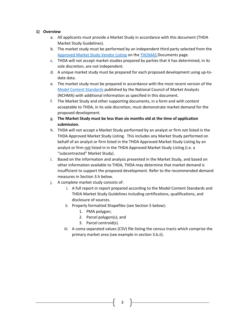# **1) Overview**

- a. All applicants must provide a Market Study in accordance with this document (THDA Market Study Guidelines).
- b. The market study must be performed by an independent third party selected from the [Approved Market Study Vendor Listing](https://thda.org/pdf/Approved-Market-Study-Listing.pdf) on the [THOMAS D](https://thda.org/rental-housing-partners/multi-family-developers/thomas-documents)ocuments page.
- c. THDA will not accept market studies prepared by parties that it has determined, in its sole discretion, are not independent.
- d. A unique market study must be prepared for each proposed development using up-todate data.
- e. The market study must be prepared in accordance with the most recent version of the [Model Content Standards](https://www.housingonline.com/councils/national-council-housing-market-analysts/resources/#Index) published by the National Council of Market Analysts (NCHMA) with additional information as specified in this document.
- f. The Market Study and other supporting documents, in a form and with content acceptable to THDA, in its sole discretion, must demonstrate market demand for the proposed development.
- g. **The Market Study must be less than six months old at the time of application submission.**
- h. THDA will not accept a Market Study performed by an analyst or firm not listed in the THDA Approved Market Study Listing. This includes any Market Study performed on behalf of an analyst or firm listed in the THDA Approved Market Study Listing by an analyst or firm not listed in in the THDA Approved Market Study Listing (i.e. a "subcontracted" Market Study).
- i. Based on the information and analysis presented in the Market Study, and based on other information available to THDA, THDA may determine that market demand is insufficient to support the proposed development. Refer to the recommended demand measures in Section 3.h below.
- j. A complete market study consists of:
	- i. A full report in report prepared according to the Model Content Standards and THDA Market Study Guidelines including certifications, qualifications, and disclosure of sources.
	- ii. Properly formatted Shapefiles (see Section 5 below):
		- 1. PMA polygon;
		- 2. Parcel polygon(s); and
		- 3. Parcel centroid(s).
	- iii. A coma separated values (CSV) file listing the census tracts which comprise the primary market area (see example in section 3.b.ii).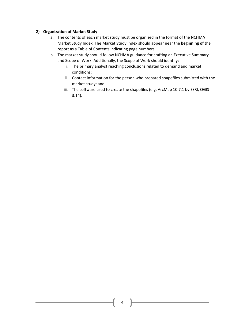# **2) Organization of Market Study**

- a. The contents of each market study must be organized in the format of the NCHMA Market Study Index. The Market Study Index should appear near the **beginning of** the report as a Table of Contents indicating page numbers.
- b. The market study should follow NCHMA guidance for crafting an Executive Summary and Scope of Work. Additionally, the Scope of Work should identify:
	- i. The primary analyst reaching conclusions related to demand and market conditions;
	- ii. Contact information for the person who prepared shapefiles submitted with the market study; and
	- iii. The software used to create the shapefiles (e.g. ArcMap 10.7.1 by ESRI, QGIS 3.14).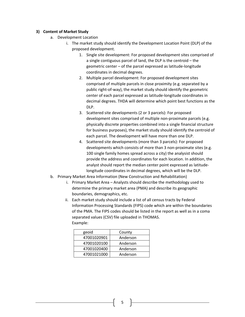## **3) Content of Market Study**

- a. Development Location
	- i. The market study should identify the Development Location Point (DLP) of the proposed development.
		- 1. Single site development: For proposed development sites comprised of a single contiguous parcel of land, the DLP is the centroid – the geometric center – of the parcel expressed as latitude-longitude coordinates in decimal degrees.
		- 2. Multiple parcel development: For proposed development sites comprised of multiple parcels in close proximity (e.g. separated by a public right-of-way), the market study should identify the geometric center of each parcel expressed as latitude-longitude coordinates in decimal degrees. THDA will determine which point best functions as the DLP.
		- 3. Scattered site developments (2 or 3 parcels): For proposed development sites comprised of multiple non-proximate parcels (e.g. physically discrete properties combined into a single financial structure for business purposes), the market study should identify the centroid of each parcel. The development will have more than one DLP.
		- 4. Scattered site developments (more than 3 parcels): For proposed developments which consists of more than 3 non-proximate sites (e.g. 100 single family homes spread across a city) the analysist should provide the address and coordinates for each location. In addition, the analyst should report the median center point expressed as latitudelongitude coordinates in decimal degrees, which will be the DLP.
- b. Primary Market Area Information (New Construction and Rehabilitation)
	- i. Primary Market Area Analysts should describe the methodology used to determine the primary market area (PMA) and describe its geographic boundaries, demographics, etc.
	- ii. Each market study should include a list of all census tracts by Federal Information Processing Standards (FIPS) code which are within the boundaries of the PMA. The FIPS codes should be listed in the report as well as in a coma separated values (CSV) file uploaded in THOMAS. Example:

| geoid       | County   |
|-------------|----------|
| 47001020901 | Anderson |
| 47001020100 | Anderson |
| 47001020400 | Anderson |
| 47001021000 | Anderson |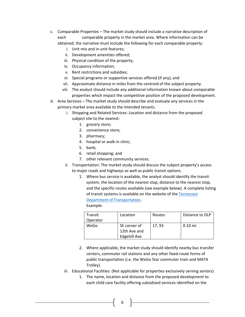- c. Comparable Properties The market study should include a narrative description of each comparable property in the market area. Where information can be obtained, the narrative must include the following for each comparable property:
	- i. Unit mix and in-unit features;
	- ii. Development amenities offered;
	- iii. Physical condition of the property;
	- iv. Occupancy information;
	- v. Rent restrictions and subsidies;
	- vi. Special programs or supportive services offered (if any); and
	- vii. Approximate distance in miles from the centroid of the subject property.
	- viii. The analyst should include any additional information known about comparable properties which impact the competitive position of the proposed development.
- d. Area Services The market study should describe and evaluate any services in the primary market area available to the intended tenants.
	- i. Shopping and Related Services: Location and distance from the proposed subject site to the nearest:
		- 1. grocery store;
		- 2. convenience store;
		- 3. pharmacy;
		- 4. hospital or walk-in clinic;
		- 5. bank;
		- 6. retail shopping; and
		- 7. other relevant community services.
	- ii. Transportation: The market study should discuss the subject property's access to major roads and highways as well as public transit options.
		- 1. Where bus service is available, the analyst should identify the transit system, the location of the nearest stop, distance to the nearest stop, and the specific routes available (see example below). A complete listing of transit systems is available on the website of the [Tennessee](https://www.tn.gov/tdot/multimodal-transportation-resources/office-of-public-transportation/public-transit-services1.html)  [Department of Transportation.](https://www.tn.gov/tdot/multimodal-transportation-resources/office-of-public-transportation/public-transit-services1.html)

Example:

| Transit  | Location            | Routes | Distance to DLP |
|----------|---------------------|--------|-----------------|
| Operator |                     |        |                 |
| WeGo     | SE corner of        | 17.93  | $0.10$ mi       |
|          | 12th Ave and        |        |                 |
|          | <b>Edgehill Ave</b> |        |                 |

- 2. Where applicable, the market study should identify nearby bus transfer centers, commuter rail stations and any other fixed-route forms of public transportation (i.e. the WeGo Star commuter train and MATA Trolley).
- iii. Educational Facilities: (Not applicable for properties exclusively serving seniors)
	- 1. The name, location and distance from the proposed development to each child care facility offering subsidized services identified on the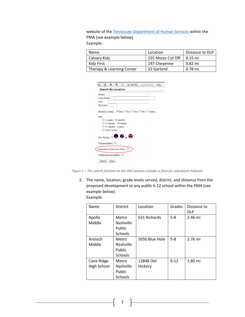website of th[e Tennessee Department of Human Services](https://tnmap.tn.gov/childcare/) within the PMA (see example below).

Example:

| Name                      | Location          | Distance to DLP |
|---------------------------|-------------------|-----------------|
| Calvary Kidz              | 235 Moize Cut Off | $\mid$ 0.15 mi  |
| Kidz First                | 197 Cheyenne      | 0.82 mi         |
| Therapy & Learning Center | 32 Garland        | 0.78 mi         |

| Street:                                          |                     |  |  |
|--------------------------------------------------|---------------------|--|--|
| <b>Cross Street:</b>                             |                     |  |  |
| City:                                            |                     |  |  |
| Zip Code:                                        |                     |  |  |
|                                                  |                     |  |  |
| Over 5 years                                     | 31 months - 5 years |  |  |
| Star Rating: <b>D. O.</b> or $\Theta$            |                     |  |  |
|                                                  |                     |  |  |
| Transportation:<br>Subsidized Child Care Assist: |                     |  |  |

*Figure 1 – The search function on the DHS website includes a filter for subsidized childcare.*

2. The name, location, grade levels served, district, and distance from the proposed development to any public k-12 school within the PMA (see example below).

Example:

| Name        | <b>District</b> | Location       | Grades   | Distance to |
|-------------|-----------------|----------------|----------|-------------|
|             |                 |                |          | <b>DLP</b>  |
| Apollo      | Metro           | 631 Richards   | $5 - 8$  | 2.46 mi     |
| Middle      | Nashville       |                |          |             |
|             | Public          |                |          |             |
|             | <b>Schools</b>  |                |          |             |
| Antioch     | Metro           | 5050 Blue Hole | $5 - 8$  | 2.76 mi     |
| Middle      | Nashville       |                |          |             |
|             | Public          |                |          |             |
|             | <b>Schools</b>  |                |          |             |
| Cane Ridge  | Metro           | 12848 Old      | $9 - 12$ | 1.80 mi     |
| High School | Nashville       | Hickory        |          |             |
|             | Public          |                |          |             |
|             | Schools         |                |          |             |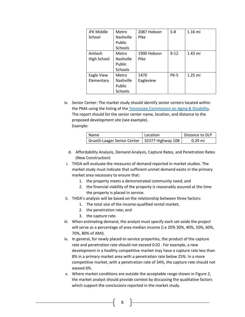| <b>JFK Middle</b> | Metro     | 2087 Hobson | $5 - 8$     | 1.16 mi   |
|-------------------|-----------|-------------|-------------|-----------|
| School            | Nashville | Pike        |             |           |
|                   | Public    |             |             |           |
|                   | Schools   |             |             |           |
| Antioch           | Metro     | 1900 Hobson | $9 - 12$    | $1.43$ mi |
| High School       | Nashville | Pike        |             |           |
|                   | Public    |             |             |           |
|                   | Schools   |             |             |           |
| Eagle View        | Metro     | 1470        | <b>PK-5</b> | $1.25$ mi |
| Elementary        | Nashville | Eagleview   |             |           |
|                   | Public    |             |             |           |
|                   | Schools   |             |             |           |

iv. Senior Center: The market study should identify senior centers located within the PMA using the listing of the [Tennessee Commission on Aging & Disability.](https://www.tn.gov/aging/resources/find-a-senior-center.html) The report should list the senior center name, location, and distance to the proposed development site (see example). Example:

| Name                                             | Location | Distance to DLP |
|--------------------------------------------------|----------|-----------------|
| Gruetli-Laager Senior Center   32377 Highway 108 |          | $0.29$ mi       |

- d. Affordability Analysis, Demand Analysis, Capture Rates, and Penetration Rates (New Construction)
- i. THDA will evaluate the measures of demand reported in market studies. The market study must indicate that sufficient unmet demand exists in the primary market area necessary to ensure that:
	- 1. the property meets a demonstrated community need; and
	- 2. the financial viability of the property is reasonably assured at the time the property is placed in service.
- ii. THDA's analysis will be based on the relationship between three factors:
	- 1. The total size of the income-qualified rental market;
	- 2. the penetration rate; and
	- 3. the capture rate.
- iii. When estimating demand, the analyst must specify each set-aside the project will serve as a percentage of area median income (i.e 20% 30%, 40%, 50%, 60%, 70%, 80% of AMI).
- iv. In general, for newly placed-in-service properties, the product of the capture rate and penetration rate should not exceed 0.02 . For example, a new development in a healthy competitive market may have a capture rate less than 8% in a primary market area with a penetration rate below 25%. In a more competitive market, with a penetration rate of 34%, the capture rate should not exceed 6%.
- v. Where market conditions are outside the acceptable range shown in Figure 2, the market analyst should provide context by discussing the qualitative factors which support the conclusions reported in the market study.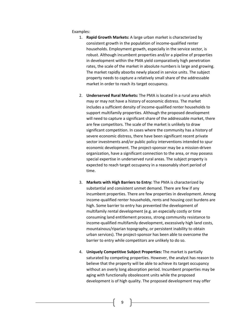Examples:

- 1. **Rapid Growth Markets:** A large urban market is characterized by consistent growth in the population of income-qualified renter households. Employment growth, especially in the service sector, is robust. Although incumbent properties and/or a pipeline of properties in development within the PMA yield comparatively high penetration rates, the scale of the market in absolute numbers is large and growing. The market rapidly absorbs newly placed in service units. The subject property needs to capture a relatively small share of the addressable market in order to reach its target occupancy.
- 2. **Underserved Rural Markets:** The PMA is located in a rural area which may or may not have a history of economic distress. The market includes a sufficient density of income-qualified renter households to support multifamily properties. Although the proposed development will need to capture a significant share of the addressable market, there are few competitors. The scale of the market is unlikely to draw significant competition. In cases where the community has a history of severe economic distress, there have been significant recent private sector investments and/or public policy interventions intended to spur economic development. The project-sponsor may be a mission-driven organization, have a significant connection to the area, or may possess special expertise in underserved rural areas. The subject property is expected to reach target occupancy in a reasonably short period of time.
- 3. **Markets with High Barriers to Entry:** The PMA is characterized by substantial and consistent unmet demand. There are few if any incumbent properties. There are few properties in development. Among income-qualified renter households, rents and housing cost burdens are high. Some barrier to entry has prevented the development of multifamily rental development (e.g. an especially costly or time consuming land entitlement process, strong community resistance to income-qualified multifamily development, excessively high land costs, mountainous/riparian topography, or persistent inability to obtain urban services). The project-sponsor has been able to overcome the barrier to entry while competitors are unlikely to do so.
- 4. **Uniquely Competitive Subject Properties:** The market is partially saturated by competing properties. However, the analyst has reason to believe that the property will be able to achieve its target occupancy without an overly long absorption period. Incumbent properties may be aging with functionally obsolescent units while the proposed development is of high quality. The proposed development may offer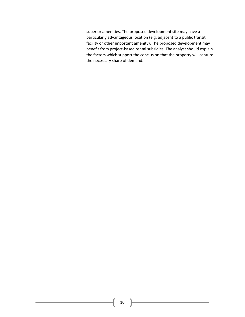superior amenities. The proposed development site may have a particularly advantageous location (e.g. adjacent to a public transit facility or other important amenity). The proposed development may benefit from project-based rental subsidies. The analyst should explain the factors which support the conclusion that the property will capture the necessary share of demand.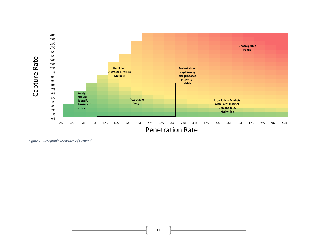

*Figure 2 - Acceptable Measures of Demand*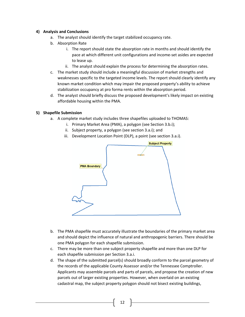## **4) Analysis and Conclusions**

- a. The analyst should identify the target stabilized occupancy rate.
- b. Absorption Rate
	- i. The report should state the absorption rate in months and should identify the pace at which different unit configurations and income-set asides are expected to lease up.
	- ii. The analyst should explain the process for determining the absorption rates.
- c. The market study should include a meaningful discussion of market strengths and weaknesses specific to the targeted income levels. The report should clearly identify any known market condition which may impair the proposed property's ability to achieve stabilization occupancy at pro forma rents within the absorption period.
- d. The analyst should briefly discuss the proposed development's likely impact on existing affordable housing within the PMA.

## **5) Shapefile Submission**

- a. A complete market study includes three shapefiles uploaded to THOMAS:
	- i. Primary Market Area (PMA), a polygon (see Section 3.b.i);
	- ii. Subject property, a polygon (see section 3.a.i); and
	- iii. Development Location Point (DLP), a point (see section 3.a.i).



- b. The PMA shapefile must accurately illustrate the boundaries of the primary market area and should depict the influence of natural and anthropogenic barriers. There should be one PMA polygon for each shapefile submission.
- c. There may be more than one subject property shapefile and more than one DLP for each shapefile submission per Section 3.a.i.
- d. The shape of the submitted parcel(s) should broadly conform to the parcel geometry of the records of the applicable County Assessor and/or the Tennessee Comptroller. Applicants may assemble parcels and parts of parcels, and propose the creation of new parcels out of larger existing properties. However, when overlaid on an existing cadastral map, the subject property polygon should not bisect existing buildings,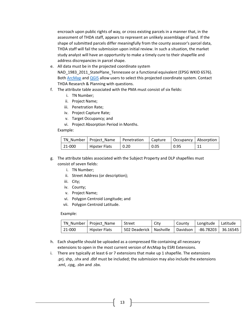encroach upon public rights of way, or cross existing parcels in a manner that, in the assessment of THDA staff, appears to represent an unlikely assemblage of land. If the shape of submitted parcels differ meaningfully from the county assessor's parcel data, THDA staff will fail the submission upon initial review. In such a situation, the market study analyst will have an opportunity to make a timely cure to their shapefile and address discrepancies in parcel shape.

- e. All data must be in the projected coordinate system NAD\_1983\_2011\_StatePlane\_Tennessee or a functional equivalent (EPSG WKID 6576). Bot[h ArcMap](https://desktop.arcgis.com/en/arcmap/10.3/tools/data-management-toolbox/project.htm) and [QGIS](https://docs.qgis.org/2.14/en/docs/user_manual/working_with_projections/working_with_projections.html#:%7E:text=QGIS%20allows%20users%20to%20define,of%20vector%20and%20raster%20layers.) allow users to select this projected coordinate system. Contact THDA Research & Planning with questions.
- f. The attribute table associated with the PMA must consist of six fields:
	- i. TN Number;
	- ii. Project Name;
	- iii. Penetration Rate;
	- iv. Project Capture Rate;
	- v. Target Occupancy; and
	- vi. Project Absorption Period in Months.

Example:

|        | TN Number   Project Name | Penetration |      | Capture   Occupancy   Absorption |  |
|--------|--------------------------|-------------|------|----------------------------------|--|
| 21-000 | <b>Hipster Flats</b>     | 0.20        | 0.05 | $\overline{0.95}$                |  |

- g. The attribute tables associated with the Subject Property and DLP shapefiles must consist of seven fields:
	- i. TN Number;
	- ii. Street Address (or description);
	- iii. City;
	- iv. County;
	- v. Project Name;
	- vi. Polygon Centroid Longitude; and
	- vii. Polygon Centroid Latitude.

Example:

|           | TN Number   Project Name | Street                    | Citv | County   | Longitude   Latitude |  |
|-----------|--------------------------|---------------------------|------|----------|----------------------|--|
| $ 21-000$ | Hipster Flats            | 502 Deaderick   Nashville |      | Davidson | -86.78203 36.16545   |  |

- h. Each shapefile should be uploaded as a compressed file containing all necessary extensions to open in the most current version of ArcMap by ESRI Extensions.
- i. There are typically at least 6 or 7 extensions that make up 1 shapefile. The extensions .prj. shp, .shx and .dbf must be included; the submission may also include the extensions .xml, .cpg, .sbn and .sbx.